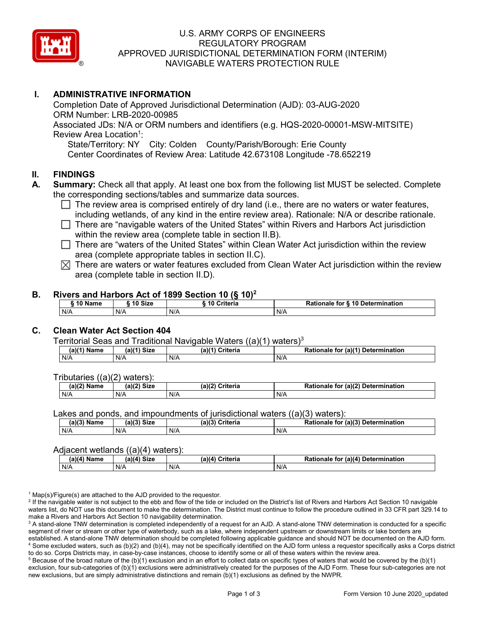

### U.S. ARMY CORPS OF ENGINEERS REGULATORY PROGRAM APPROVED JURISDICTIONAL DETERMINATION FORM (INTERIM) NAVIGABLE WATERS PROTECTION RULE

### **I. ADMINISTRATIVE INFORMATION**

Completion Date of Approved Jurisdictional Determination (AJD): 03-AUG-2020 ORM Number: LRB-2020-00985 Associated JDs: N/A or ORM numbers and identifiers (e.g. HQS-2020-00001-MSW-MITSITE) Review Area Location<sup>1</sup>: State/Territory: NY City: Colden County/Parish/Borough: Erie County Center Coordinates of Review Area: Latitude 42.673108 Longitude -78.652219

#### **II. FINDINGS**

- **A. Summary:** Check all that apply. At least one box from the following list MUST be selected. Complete the corresponding sections/tables and summarize data sources.
	- $\Box$  The review area is comprised entirely of dry land (i.e., there are no waters or water features, including wetlands, of any kind in the entire review area). Rationale: N/A or describe rationale.
	- There are "navigable waters of the United States" within Rivers and Harbors Act jurisdiction within the review area (complete table in section II.B).
	- $\Box$  There are "waters of the United States" within Clean Water Act jurisdiction within the review area (complete appropriate tables in section II.C).
	- $\boxtimes$  There are waters or water features excluded from Clean Water Act jurisdiction within the review area (complete table in section II.D).

#### **B. Rivers and Harbors Act of 1899 Section 10 (§ 10)2**

| <b>A 6 5 1</b><br>Name | 10 Size | ---------<br><b>↑riteria</b><br>ιu | ੇ for § 10 Determination<br>Rationale |
|------------------------|---------|------------------------------------|---------------------------------------|
| N/A                    | N/A     | N/A                                | N/A                                   |

### **C. Clean Water Act Section 404**

Territorial Seas and Traditional Navigable Waters  $((a)(1)$  waters)<sup>3</sup>

| (a)(1`<br>Name | $(a)(1)$ Size | Criteria<br>$(a)$ <sup><math>\prime</math></sup> | (a)(1)<br>Determination<br><b>Dation</b><br>tor<br>Rationale |
|----------------|---------------|--------------------------------------------------|--------------------------------------------------------------|
| N/A            | N/A           | N/A                                              | N/A                                                          |

Tributaries ((a)(2) waters):

| (a)(2) Name | C <sub>1</sub><br>$\sim$ 10 <sup>1</sup><br>JIZE<br> | ेriteria<br>(a)(2) | (a)(2) Determination<br>Datian,<br>tor<br>nale<br>тіг |
|-------------|------------------------------------------------------|--------------------|-------------------------------------------------------|
| N/A         | N/A                                                  | N/A                | N/A                                                   |

Lakes and ponds, and impoundments of jurisdictional waters ((a)(3) waters):

| $(a)(3)$ M<br>Name | $(a)(3)$ Size | (a)(3)<br>Criteria<br>$\sim$ | for (a)(3) Determination<br><b>Rationale</b> |
|--------------------|---------------|------------------------------|----------------------------------------------|
| N/A                | N/A           | N/A                          | N/A                                          |

#### Adjacent wetlands ((a)(4) waters):

| ----<br>.     |             |                    |                                               |
|---------------|-------------|--------------------|-----------------------------------------------|
| $(a)(4)$ Name | (a)(4) Size | (a)(4)<br>Criteria | (a)(4)<br>) Determination<br>Rationale<br>for |
| N/A           | N/A         | N/A                | N/A                                           |

 $1$  Map(s)/Figure(s) are attached to the AJD provided to the requestor.

<sup>2</sup> If the navigable water is not subject to the ebb and flow of the tide or included on the District's list of Rivers and Harbors Act Section 10 navigable waters list, do NOT use this document to make the determination. The District must continue to follow the procedure outlined in 33 CFR part 329.14 to make a Rivers and Harbors Act Section 10 navigability determination.

<sup>3</sup> A stand-alone TNW determination is completed independently of a request for an AJD. A stand-alone TNW determination is conducted for a specific segment of river or stream or other type of waterbody, such as a lake, where independent upstream or downstream limits or lake borders are established. A stand-alone TNW determination should be completed following applicable guidance and should NOT be documented on the AJD form. <sup>4</sup> Some excluded waters, such as (b)(2) and (b)(4), may not be specifically identified on the AJD form unless a requestor specifically asks a Corps district to do so. Corps Districts may, in case-by-case instances, choose to identify some or all of these waters within the review area.

 $5$  Because of the broad nature of the (b)(1) exclusion and in an effort to collect data on specific types of waters that would be covered by the (b)(1) exclusion, four sub-categories of (b)(1) exclusions were administratively created for the purposes of the AJD Form. These four sub-categories are not new exclusions, but are simply administrative distinctions and remain (b)(1) exclusions as defined by the NWPR.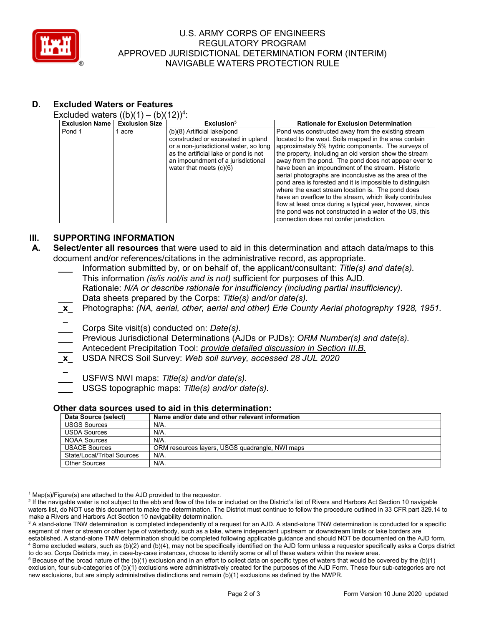

### U.S. ARMY CORPS OF ENGINEERS REGULATORY PROGRAM APPROVED JURISDICTIONAL DETERMINATION FORM (INTERIM) NAVIGABLE WATERS PROTECTION RULE

# **D. Excluded Waters or Features**

Excluded waters  $((b)(1) - (b)(12))^4$ :

| <b>Exclusion Name</b> | <b>Exclusion Size</b> | Exclusion <sup>5</sup>                                                                                                                                                                                                  | <b>Rationale for Exclusion Determination</b>                                                                                                                                                                                                                                                                                                                                                                                                                                                                                                                                                                                                                                                                                                       |
|-----------------------|-----------------------|-------------------------------------------------------------------------------------------------------------------------------------------------------------------------------------------------------------------------|----------------------------------------------------------------------------------------------------------------------------------------------------------------------------------------------------------------------------------------------------------------------------------------------------------------------------------------------------------------------------------------------------------------------------------------------------------------------------------------------------------------------------------------------------------------------------------------------------------------------------------------------------------------------------------------------------------------------------------------------------|
| Pond 1                | acre                  | (b)(8) Artificial lake/pond<br>constructed or excavated in upland<br>or a non-jurisdictional water, so long<br>as the artificial lake or pond is not<br>an impoundment of a jurisdictional<br>water that meets $(c)(6)$ | Pond was constructed away from the existing stream<br>located to the west. Soils mapped in the area contain<br>approximately 5% hydric components. The surveys of<br>the property, including an old version show the stream<br>away from the pond. The pond does not appear ever to<br>have been an impoundment of the stream. Historic<br>aerial photographs are inconclusive as the area of the<br>pond area is forested and it is impossible to distinguish<br>where the exact stream location is. The pond does<br>have an overflow to the stream, which likely contributes<br>flow at least once during a typical year, however, since<br>the pond was not constructed in a water of the US, this<br>connection does not confer jurisdiction. |

### **III. SUPPORTING INFORMATION**

- **A. Select/enter all resources** that were used to aid in this determination and attach data/maps to this document and/or references/citations in the administrative record, as appropriate.
	- **\_\_\_** Information submitted by, or on behalf of, the applicant/consultant: *Title(s) and date(s).* This information *(is/is not/is and is not)* sufficient for purposes of this AJD. Rationale: *N/A or describe rationale for insufficiency (including partial insufficiency).*
	- **\_\_\_** Data sheets prepared by the Corps: *Title(s) and/or date(s).*
	- **\_x\_** Photographs: *(NA, aerial, other, aerial and other) Erie County Aerial photography 1928, 1951.*
	- **\_ \_\_\_** Corps Site visit(s) conducted on: *Date(s).*
	- **\_\_\_** Previous Jurisdictional Determinations (AJDs or PJDs): *ORM Number(s) and date(s).*
	- **\_\_\_** Antecedent Precipitation Tool: *provide detailed discussion in Section III.B.*
	- **\_x\_** USDA NRCS Soil Survey: *Web soil survey, accessed 28 JUL 2020*
	- **\_**
		- **\_\_\_** USFWS NWI maps: *Title(s) and/or date(s).*

**\_\_\_** USGS topographic maps: *Title(s) and/or date(s).*

#### **Other data sources used to aid in this determination:**

| Data Source (select)       | Name and/or date and other relevant information |
|----------------------------|-------------------------------------------------|
| <b>USGS Sources</b>        | $N/A$ .                                         |
| <b>USDA Sources</b>        | $N/A$ .                                         |
| <b>NOAA Sources</b>        | N/A                                             |
| <b>USACE Sources</b>       | ORM resources layers, USGS quadrangle, NWI maps |
| State/Local/Tribal Sources | $N/A$ .                                         |
| <b>Other Sources</b>       | $N/A$ .                                         |

 $1$  Map(s)/Figure(s) are attached to the AJD provided to the requestor.

<sup>2</sup> If the navigable water is not subject to the ebb and flow of the tide or included on the District's list of Rivers and Harbors Act Section 10 navigable waters list, do NOT use this document to make the determination. The District must continue to follow the procedure outlined in 33 CFR part 329.14 to make a Rivers and Harbors Act Section 10 navigability determination.

 $5$  Because of the broad nature of the (b)(1) exclusion and in an effort to collect data on specific types of waters that would be covered by the (b)(1) exclusion, four sub-categories of (b)(1) exclusions were administratively created for the purposes of the AJD Form. These four sub-categories are not new exclusions, but are simply administrative distinctions and remain (b)(1) exclusions as defined by the NWPR.

<sup>&</sup>lt;sup>3</sup> A stand-alone TNW determination is completed independently of a request for an AJD. A stand-alone TNW determination is conducted for a specific segment of river or stream or other type of waterbody, such as a lake, where independent upstream or downstream limits or lake borders are established. A stand-alone TNW determination should be completed following applicable guidance and should NOT be documented on the AJD form. <sup>4</sup> Some excluded waters, such as (b)(2) and (b)(4), may not be specifically identified on the AJD form unless a requestor specifically asks a Corps district to do so. Corps Districts may, in case-by-case instances, choose to identify some or all of these waters within the review area.